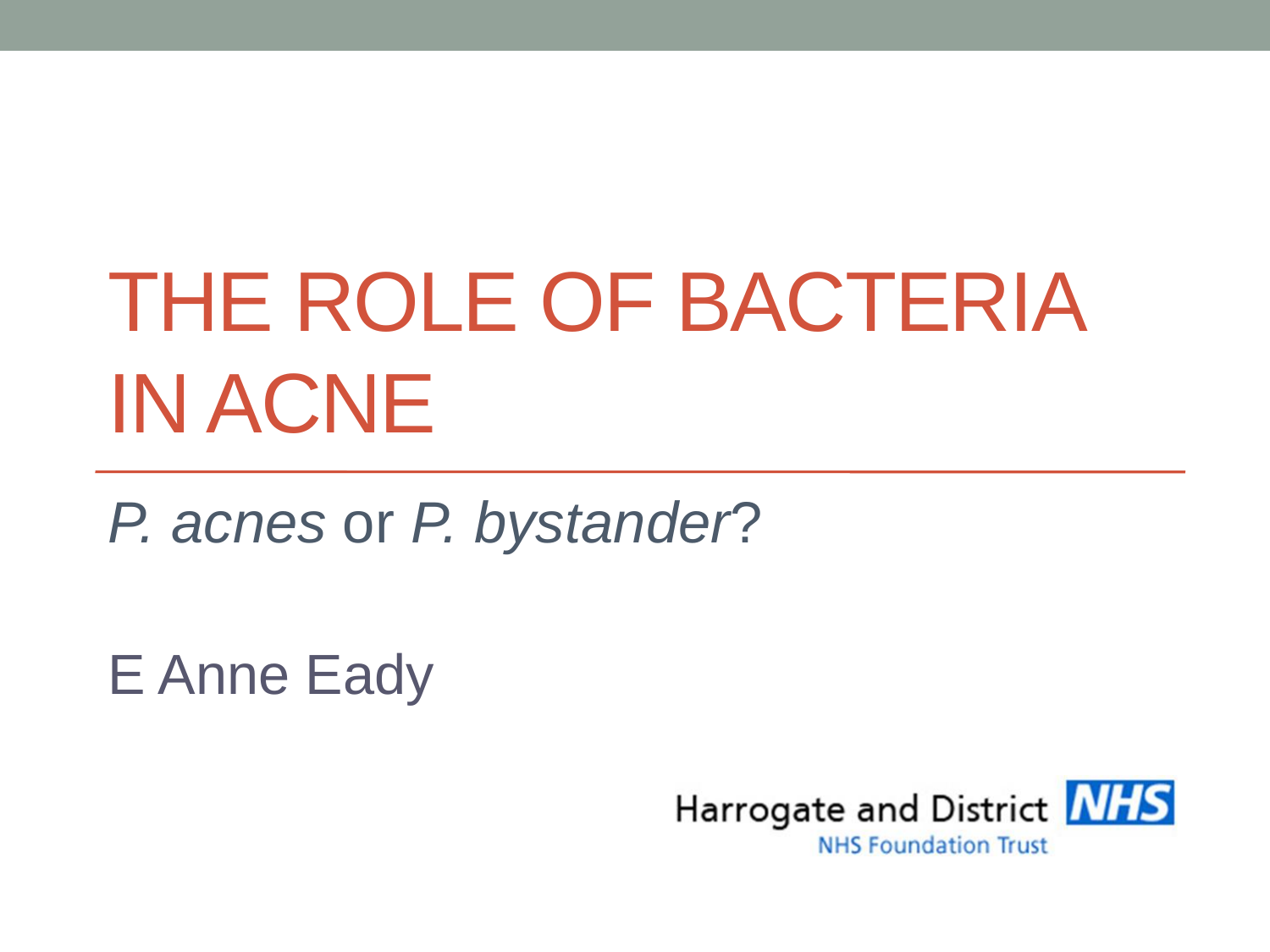# THE ROLE OF BACTERIA IN ACNE

*P. acnes* or *P. bystander*?

E Anne Eady

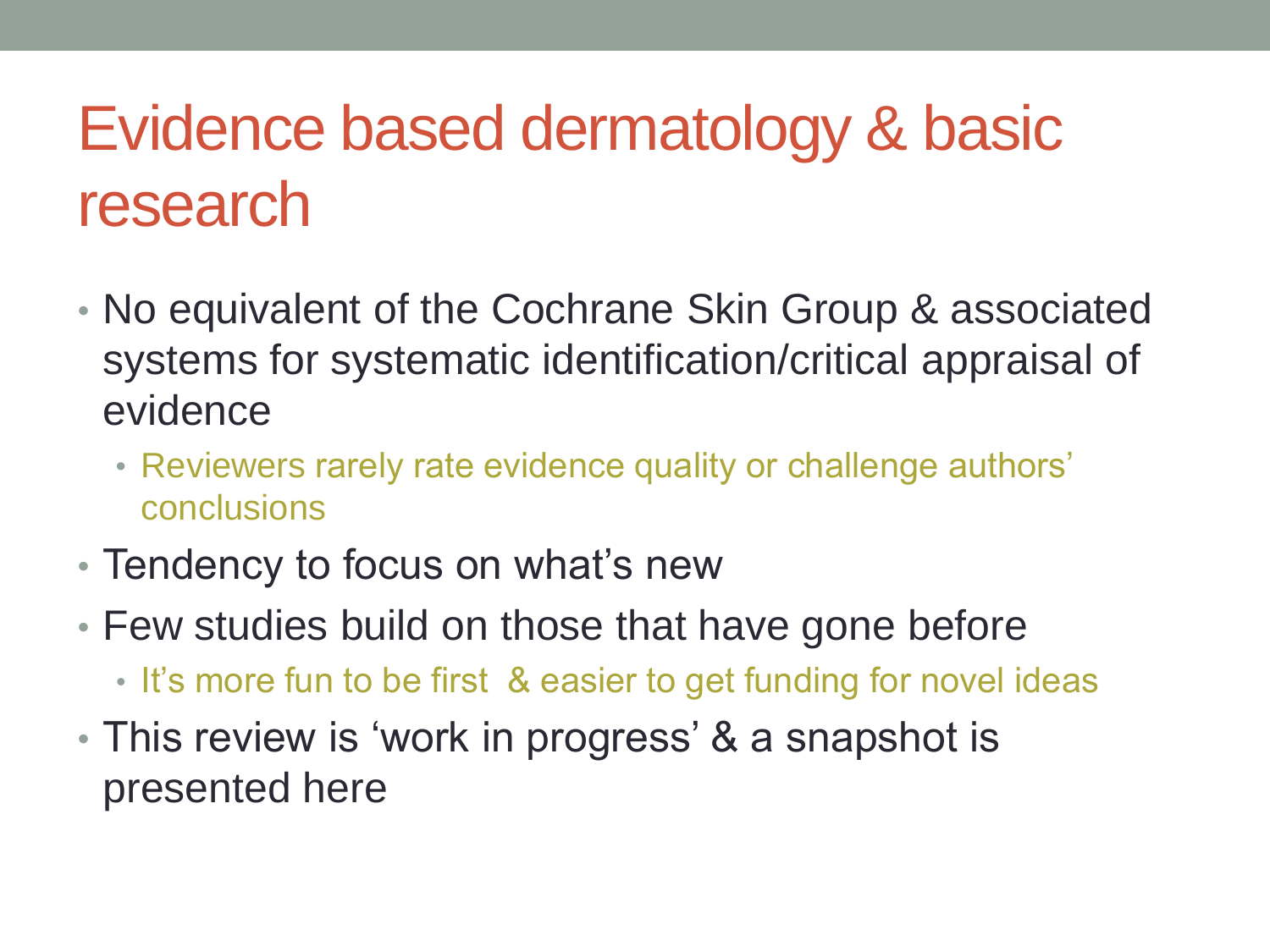### Evidence based dermatology & basic research

- No equivalent of the Cochrane Skin Group & associated systems for systematic identification/critical appraisal of evidence
	- Reviewers rarely rate evidence quality or challenge authors' conclusions
- Tendency to focus on what's new
- Few studies build on those that have gone before
	- It's more fun to be first & easier to get funding for novel ideas
- This review is 'work in progress' & a snapshot is presented here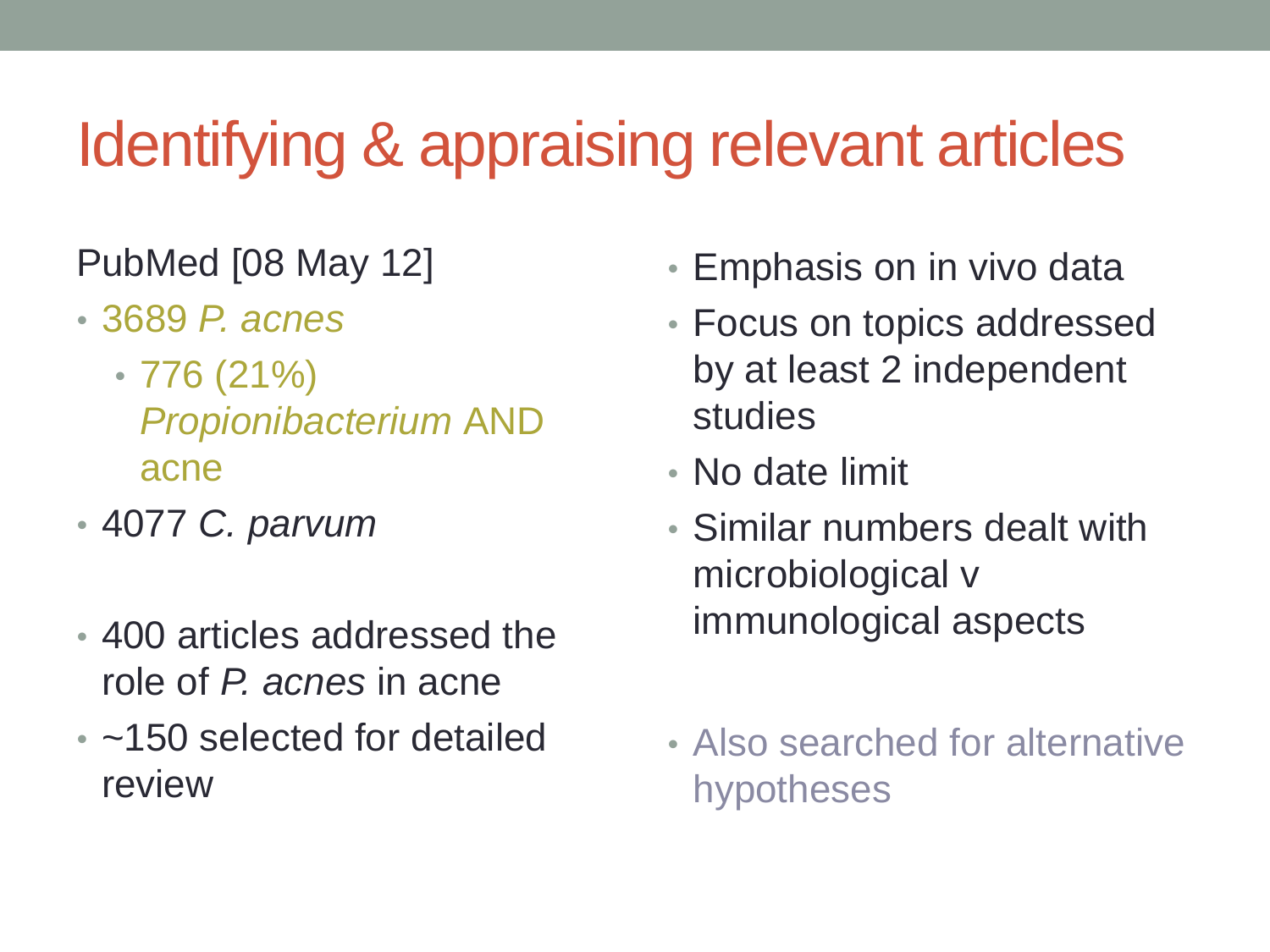### Identifying & appraising relevant articles

#### PubMed [08 May 12]

- 3689 *P. acnes*
	- $\cdot$  776 (21%) *Propionibacterium* AND acne
- 4077 *C. parvum*
- 400 articles addressed the role of *P. acnes* in acne
- ~150 selected for detailed review
- Emphasis on in vivo data
- Focus on topics addressed by at least 2 independent studies
- No date limit
- Similar numbers dealt with microbiological v immunological aspects
- Also searched for alternative hypotheses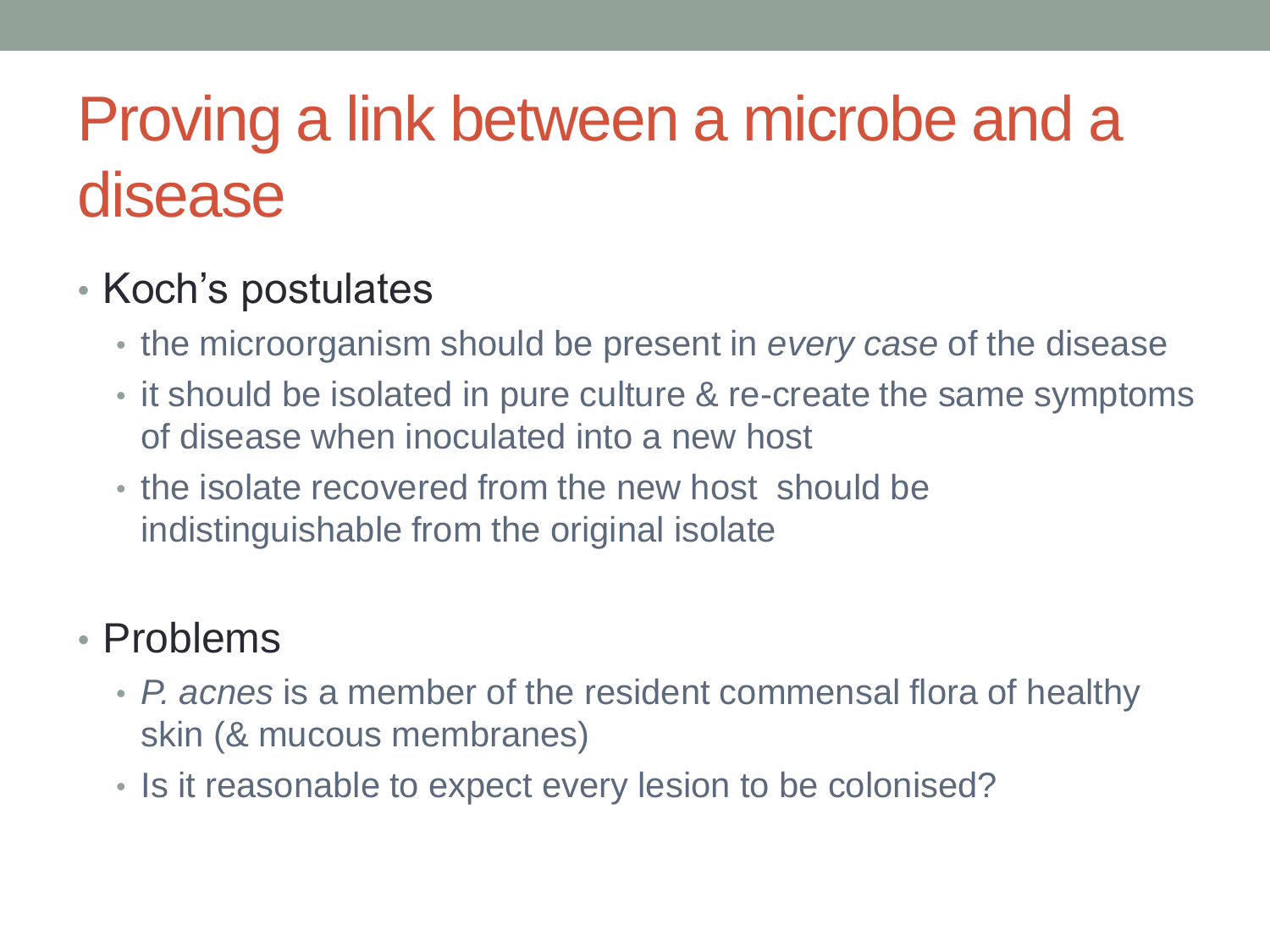### Proving a link between a microbe and a disease

#### • Koch's postulates

- the microorganism should be present in *every case* of the disease
- it should be isolated in pure culture & re-create the same symptoms of disease when inoculated into a new host
- the isolate recovered from the new host should be indistinguishable from the original isolate

#### • Problems

- *P. acnes* is a member of the resident commensal flora of healthy skin (& mucous membranes)
- Is it reasonable to expect every lesion to be colonised?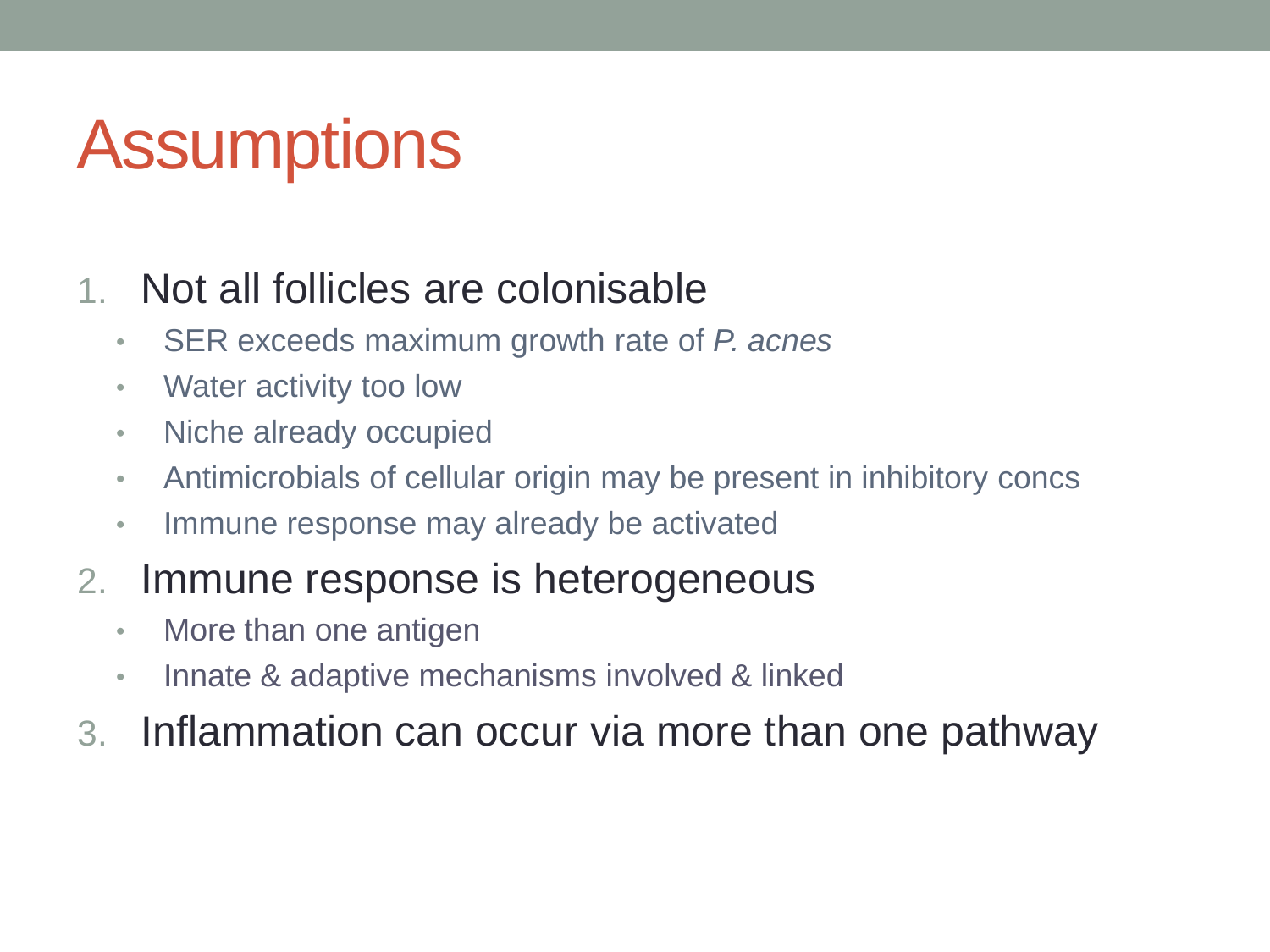## **Assumptions**

#### 1. Not all follicles are colonisable

- SER exceeds maximum growth rate of *P. acnes*
- Water activity too low
- Niche already occupied
- Antimicrobials of cellular origin may be present in inhibitory concs
- Immune response may already be activated

#### 2. Immune response is heterogeneous

- More than one antigen
- Innate & adaptive mechanisms involved & linked
- 3. Inflammation can occur via more than one pathway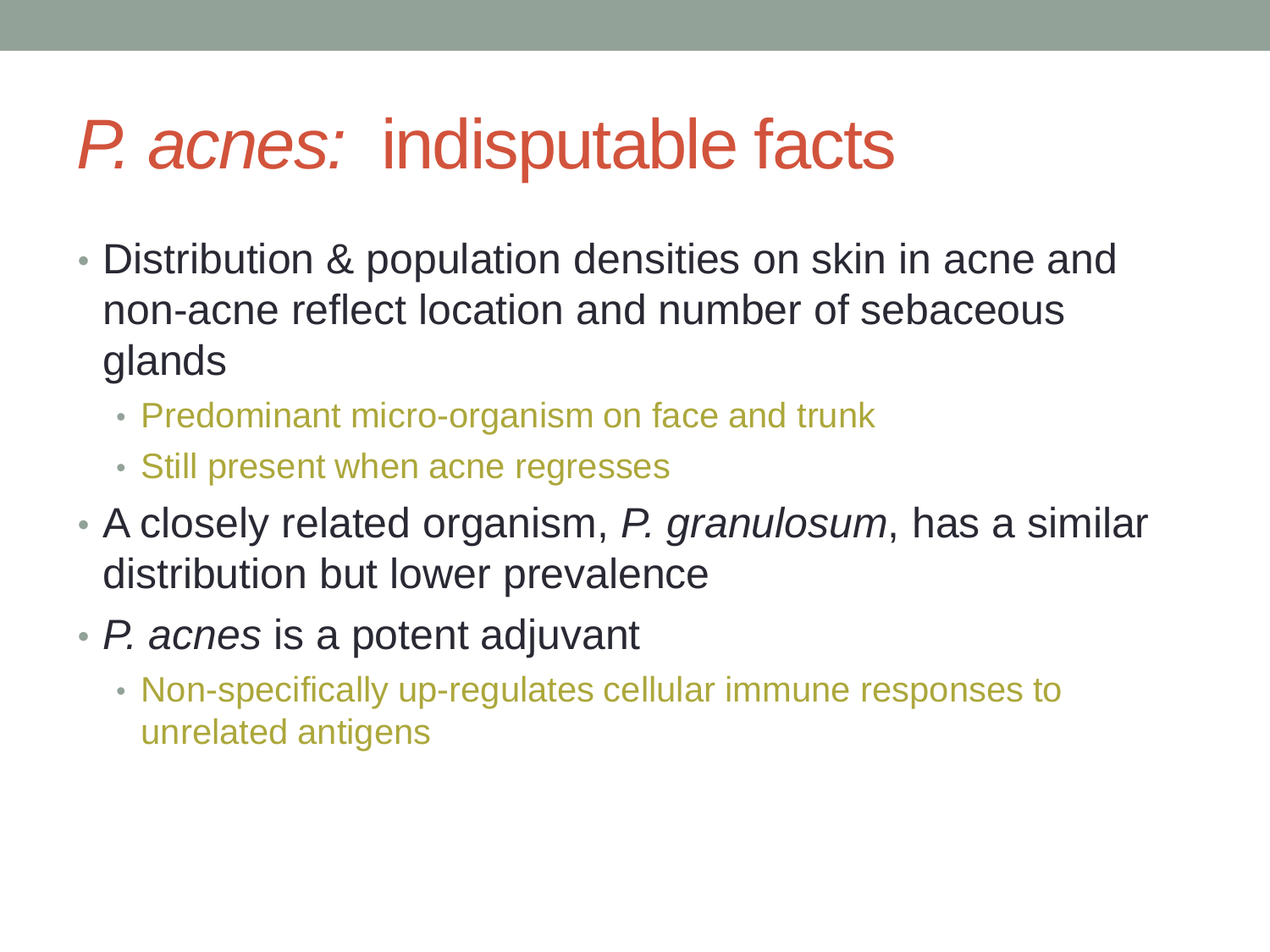## *P. acnes:* indisputable facts

- Distribution & population densities on skin in acne and non-acne reflect location and number of sebaceous glands
	- Predominant micro-organism on face and trunk
	- Still present when acne regresses
- A closely related organism, *P. granulosum*, has a similar distribution but lower prevalence
- *P. acnes* is a potent adjuvant
	- Non-specifically up-regulates cellular immune responses to unrelated antigens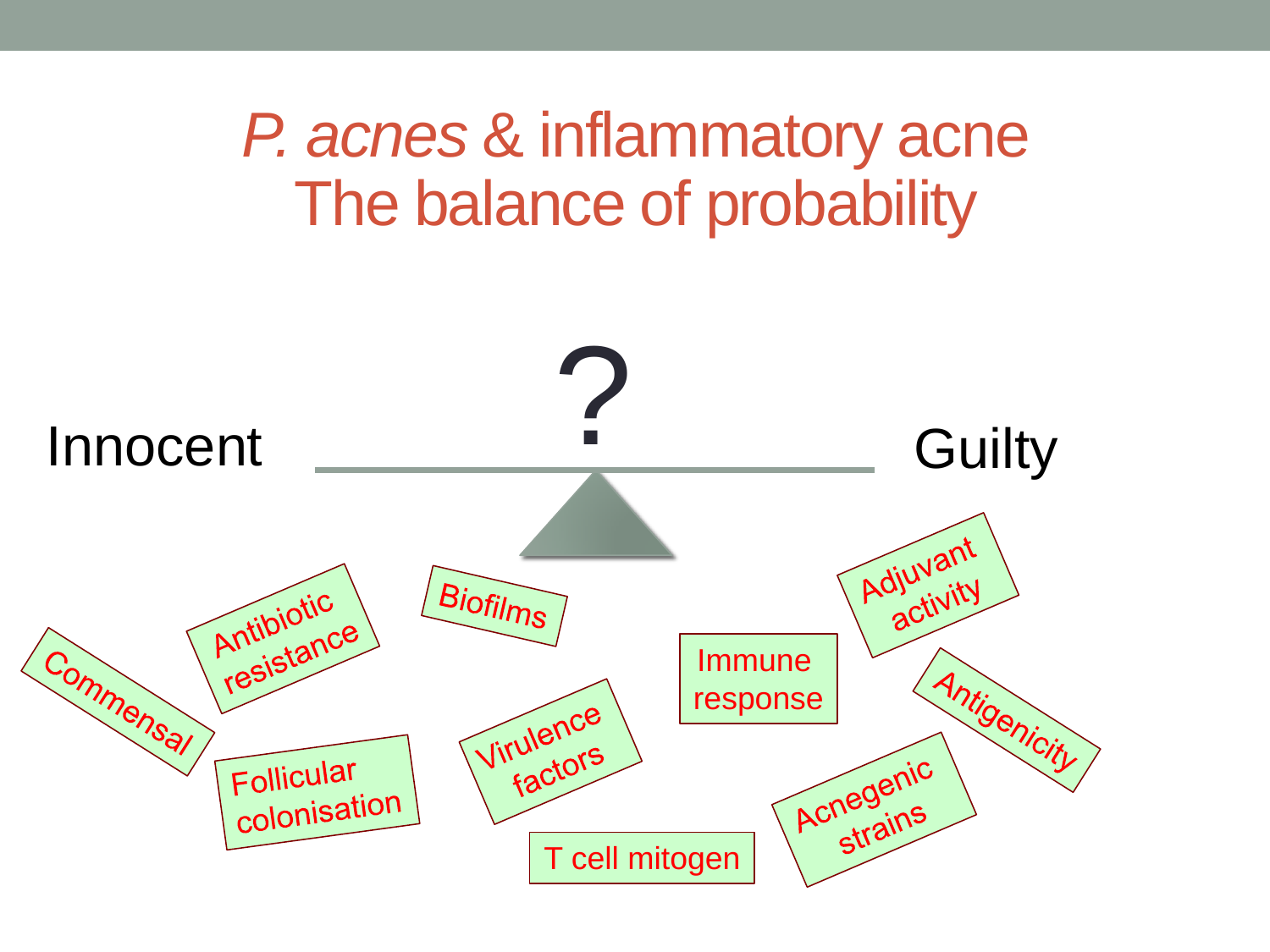#### *P. acnes* & inflammatory acne The balance of probability

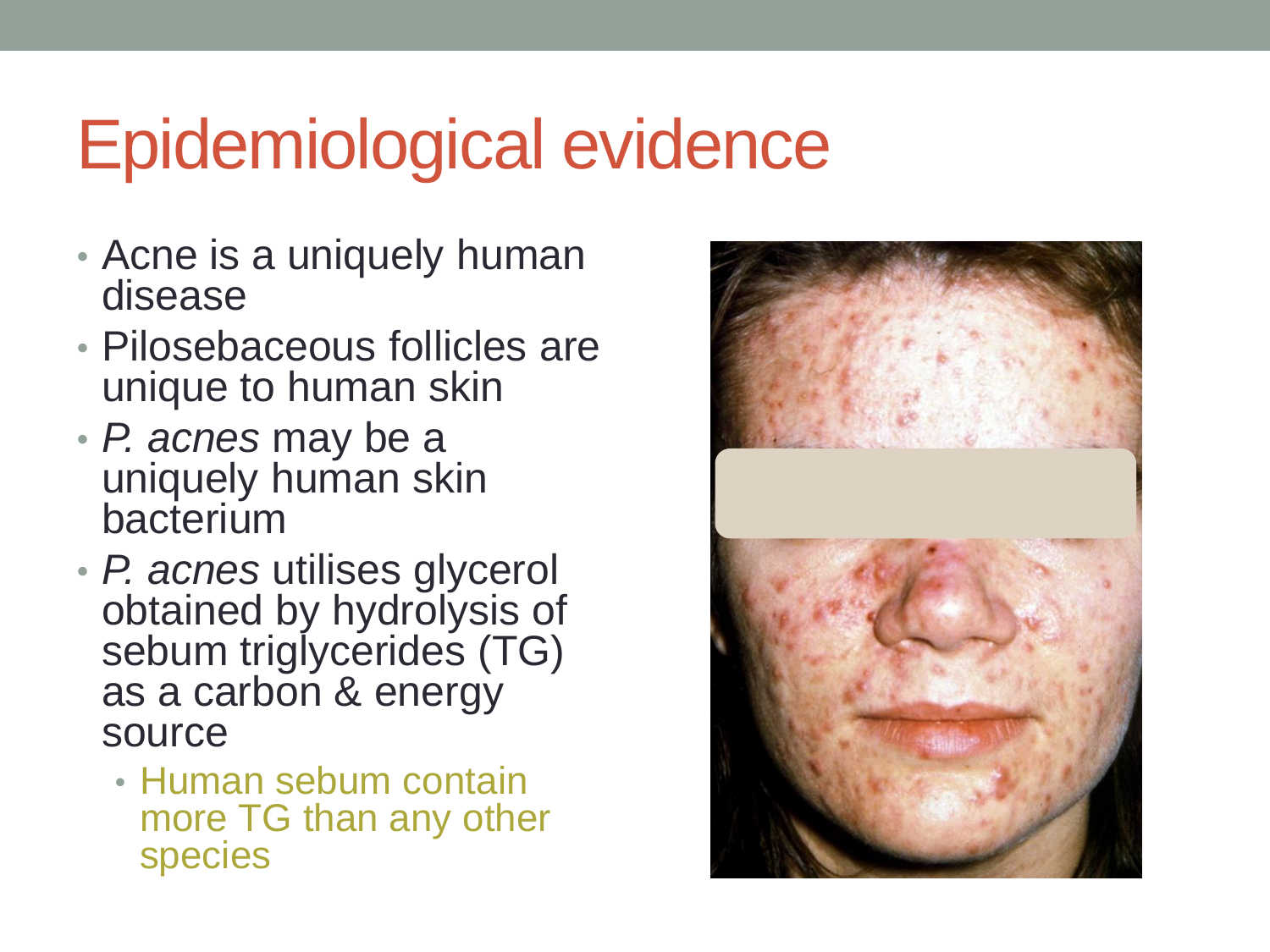## Epidemiological evidence

- Acne is a uniquely human disease
- Pilosebaceous follicles are unique to human skin
- *P. acnes* may be a uniquely human skin bacterium
- *P. acnes* utilises glycerol obtained by hydrolysis of sebum triglycerides (TG) as a carbon & energy source
	- Human sebum contain more TG than any other species

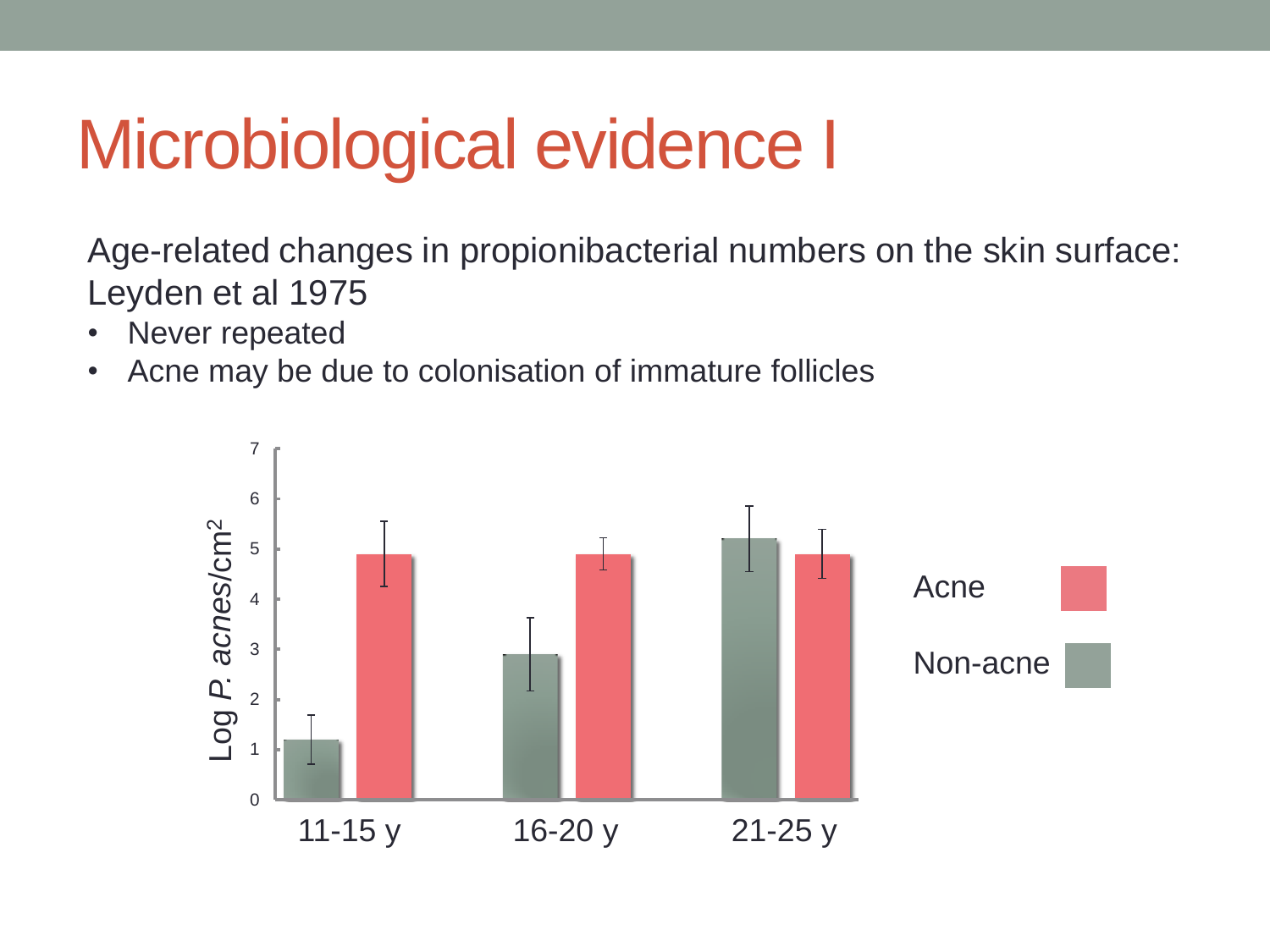## Microbiological evidence I

Age-related changes in propionibacterial numbers on the skin surface: Leyden et al 1975

- Never repeated
- Acne may be due to colonisation of immature follicles

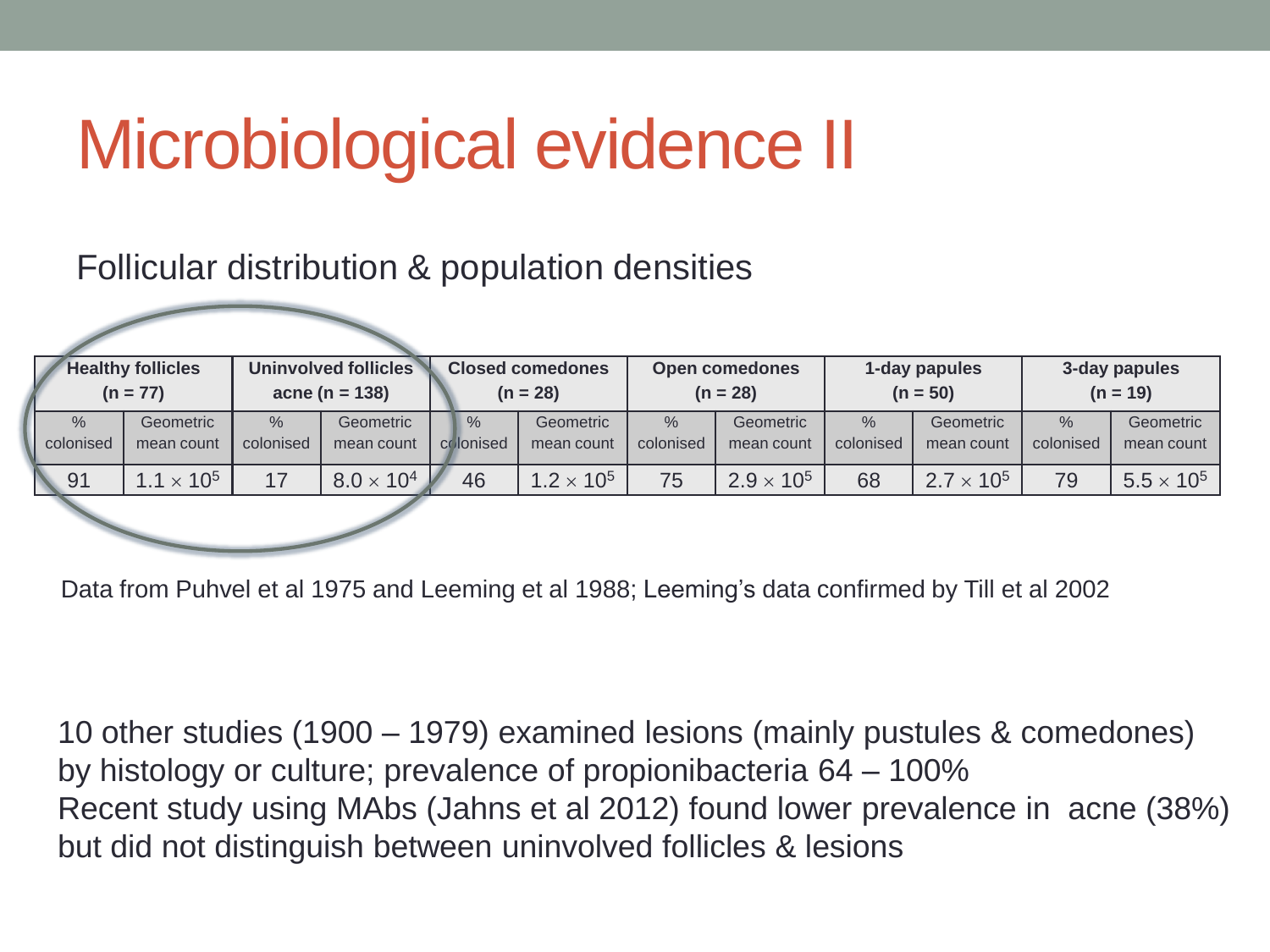## Microbiological evidence II

#### Follicular distribution & population densities

| <b>Healthy follicles</b><br>$(n = 77)$ |                         |                            | <b>Uninvolved follicles</b><br><b>Closed comedones</b><br>$acne (n = 138)$<br>$(n = 28)$ |  |                            | <b>Open comedones</b><br>$(n = 28)$ |                            | 1-day papules<br>$(n = 50)$ |                            | 3-day papules<br>$(n = 19)$ |                            |                         |
|----------------------------------------|-------------------------|----------------------------|------------------------------------------------------------------------------------------|--|----------------------------|-------------------------------------|----------------------------|-----------------------------|----------------------------|-----------------------------|----------------------------|-------------------------|
| $\frac{9}{6}$<br>colonised             | Geometric<br>mean count | $\frac{0}{0}$<br>colonised | Geometric<br>mean count                                                                  |  | $\frac{0}{6}$<br>colonised | Geometric<br>mean count             | $\frac{9}{6}$<br>colonised | Geometric<br>mean count     | $\frac{0}{2}$<br>colonised | Geometric<br>mean count     | $\frac{0}{0}$<br>colonised | Geometric<br>mean count |
| 91                                     | $1.1 \times 10^{5}$     | 17                         | $8.0 \times 10^{4}$                                                                      |  | 46                         | $1.2 \times 10^{5}$                 | 75                         | $2.9 \times 10^{5}$         | 68                         | $2.7 \times 10^{5}$         | 79                         | $5.5 \times 10^5$       |
|                                        |                         |                            |                                                                                          |  |                            |                                     |                            |                             |                            |                             |                            |                         |

Data from Puhvel et al 1975 and Leeming et al 1988; Leeming's data confirmed by Till et al 2002

10 other studies (1900 – 1979) examined lesions (mainly pustules & comedones) by histology or culture; prevalence of propionibacteria 64 – 100% Recent study using MAbs (Jahns et al 2012) found lower prevalence in acne (38%) but did not distinguish between uninvolved follicles & lesions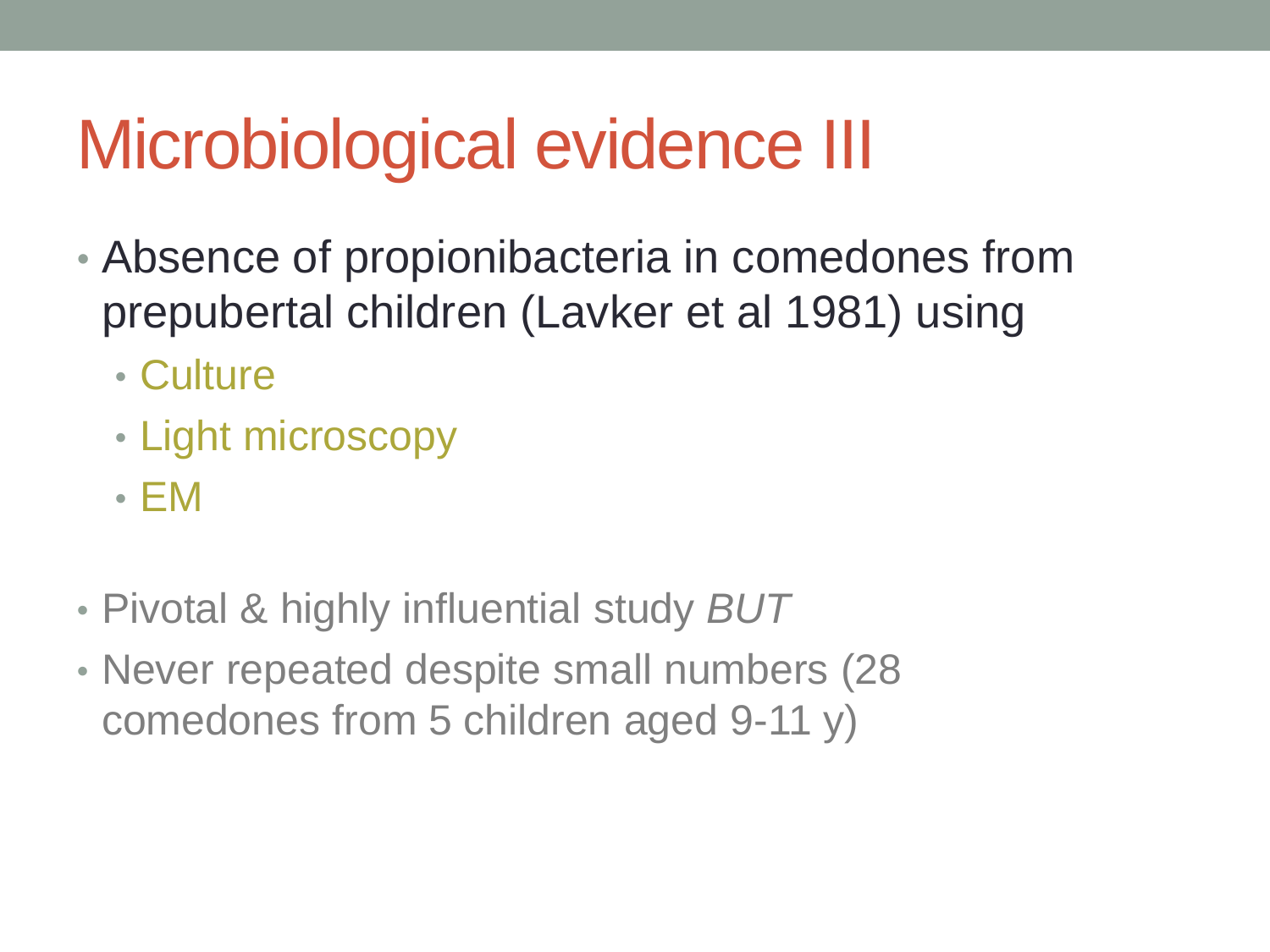## Microbiological evidence III

- Absence of propionibacteria in comedones from prepubertal children (Lavker et al 1981) using
	- Culture
	- Light microscopy
	- EM
- Pivotal & highly influential study *BUT*
- Never repeated despite small numbers (28 comedones from 5 children aged 9-11 y)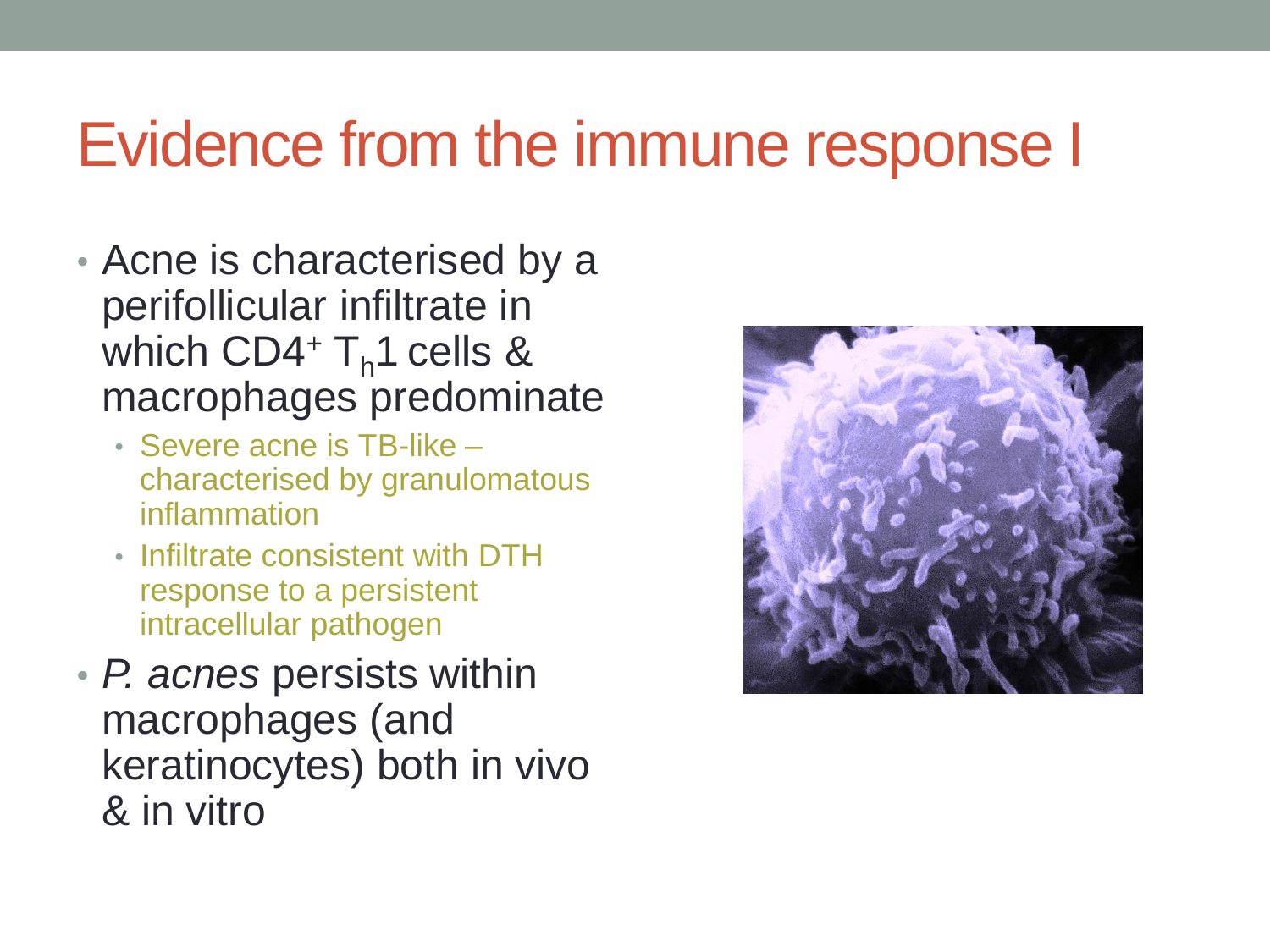#### Evidence from the immune response I

- Acne is characterised by a perifollicular infiltrate in which  $CD4+T_h1$  cells & macrophages predominate
	- Severe acne is TB-like characterised by granulomatous inflammation
	- Infiltrate consistent with DTH response to a persistent intracellular pathogen
- *P. acnes* persists within macrophages (and keratinocytes) both in vivo & in vitro

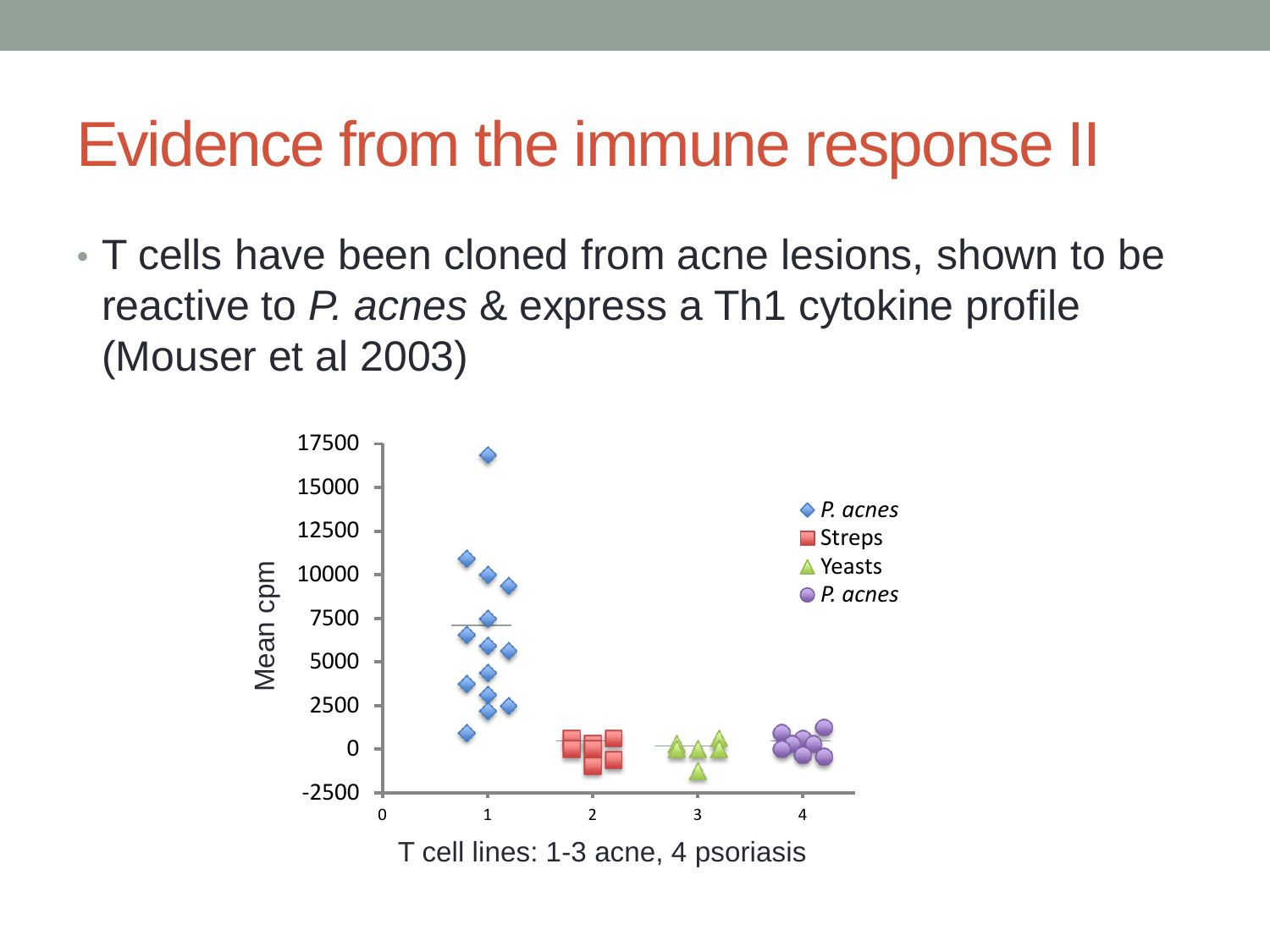#### Evidence from the immune response II

• T cells have been cloned from acne lesions, shown to be reactive to *P. acnes* & express a Th1 cytokine profile (Mouser et al 2003)

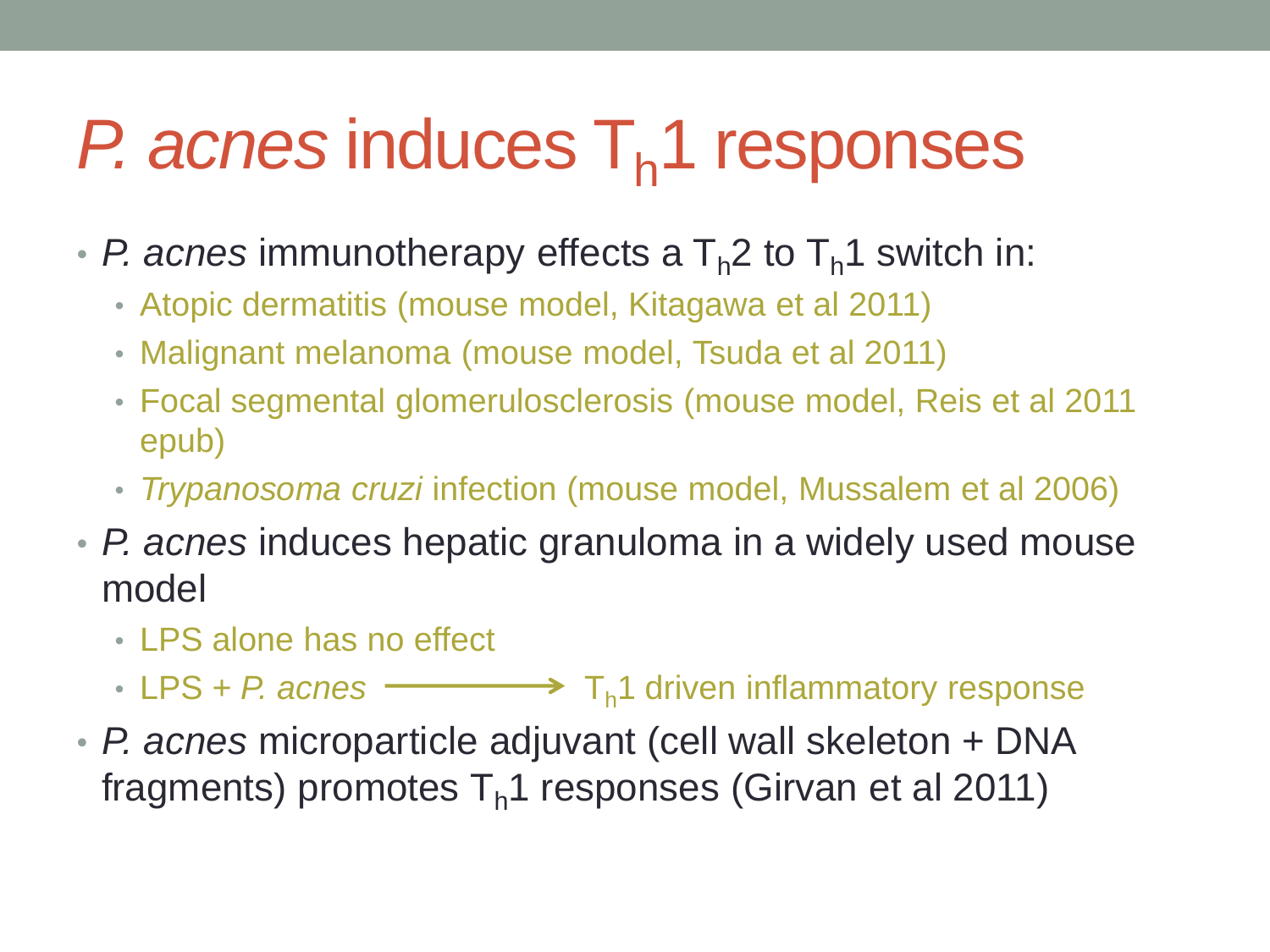## *P. acnes* induces T<sub>h</sub>1 responses

- *P. acnes* immunotherapy effects a T<sub>h</sub>2 to T<sub>h</sub>1 switch in:
	- Atopic dermatitis (mouse model, Kitagawa et al 2011)
	- Malignant melanoma (mouse model, Tsuda et al 2011)
	- Focal segmental glomerulosclerosis (mouse model, Reis et al 2011 epub)
	- *Trypanosoma cruzi* infection (mouse model, Mussalem et al 2006)
- *P. acnes* induces hepatic granuloma in a widely used mouse model
	- LPS alone has no effect
	- LPS + *P.* acnes  $\longrightarrow$   $T_h1$  driven inflammatory response
- *P. acnes* microparticle adjuvant (cell wall skeleton + DNA fragments) promotes  $T<sub>h</sub>1$  responses (Girvan et al 2011)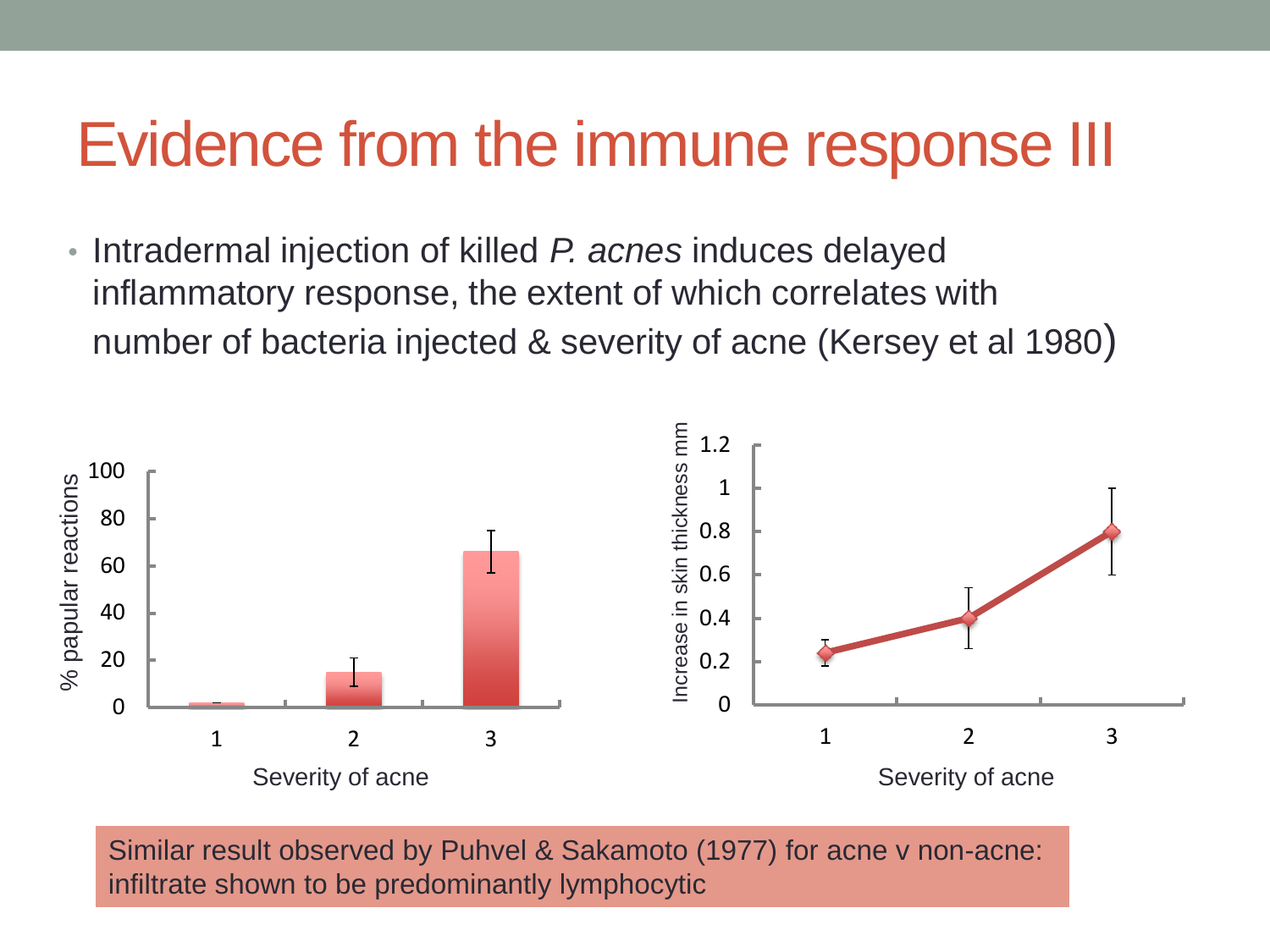#### Evidence from the immune response III

• Intradermal injection of killed *P. acnes* induces delayed inflammatory response, the extent of which correlates with number of bacteria injected & severity of acne (Kersey et al 1980)



Similar result observed by Puhvel & Sakamoto (1977) for acne v non-acne: infiltrate shown to be predominantly lymphocytic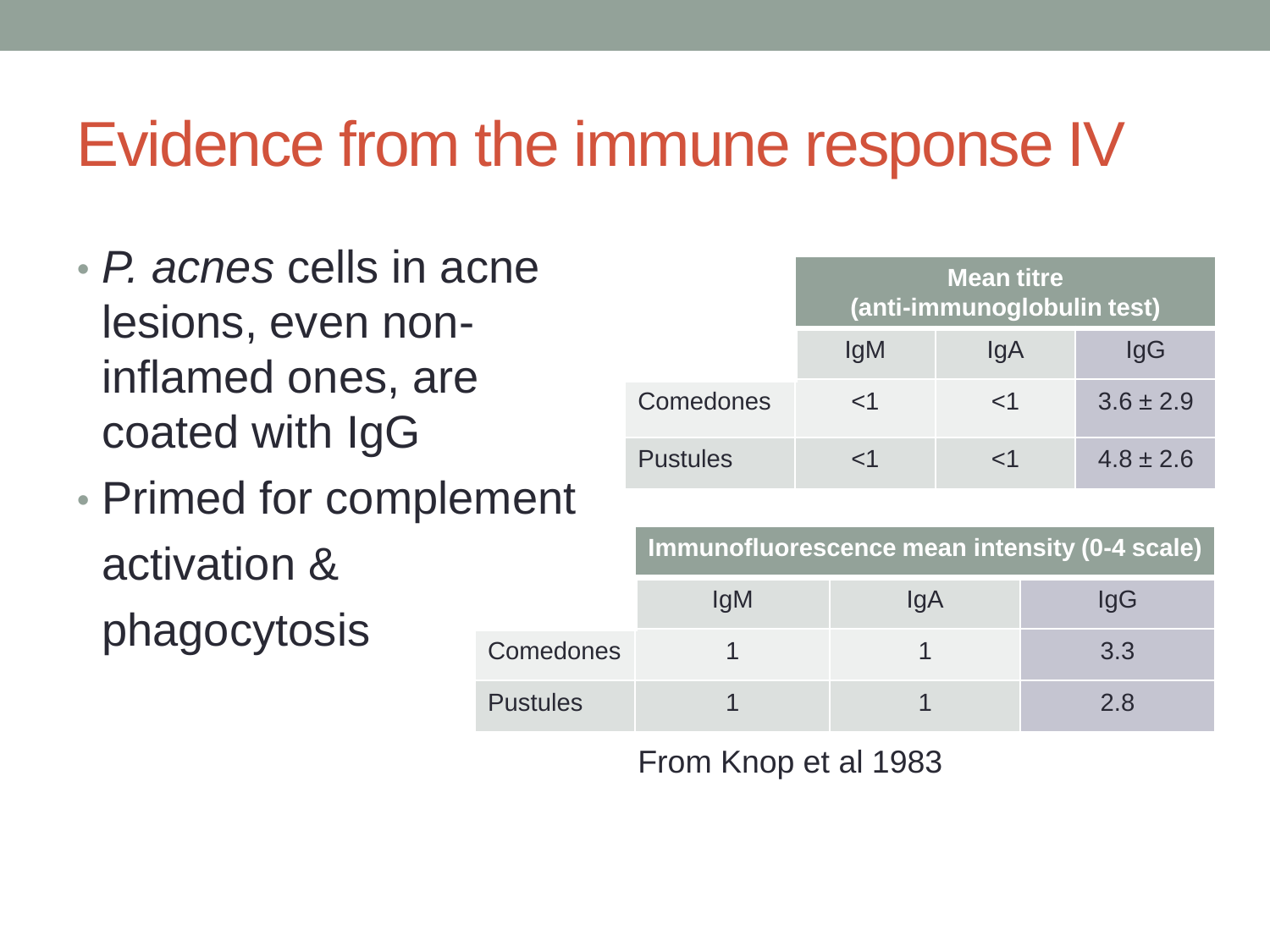### Evidence from the immune response IV

- *P. acnes* cells in acne lesions, even noninflamed ones, are coated with IgG
- Primed for complement activation & phagocytosis

|                 | <b>Mean titre</b><br>(anti-immunoglobulin test) |               |               |  |
|-----------------|-------------------------------------------------|---------------|---------------|--|
|                 | lgM                                             | lgA           | IgG           |  |
| Comedones       | ${<}1$                                          | $\mathsf{<}1$ | $3.6 \pm 2.9$ |  |
| <b>Pustules</b> | -1                                              | -1            | $4.8 \pm 2.6$ |  |

|                  | Immunofluorescence mean intensity (0-4 scale) |     |     |  |  |
|------------------|-----------------------------------------------|-----|-----|--|--|
|                  | <b>IgM</b>                                    | IgA | lgG |  |  |
| <b>Comedones</b> |                                               |     | 3.3 |  |  |
| <b>Pustules</b>  |                                               |     | 2 8 |  |  |

From Knop et al 1983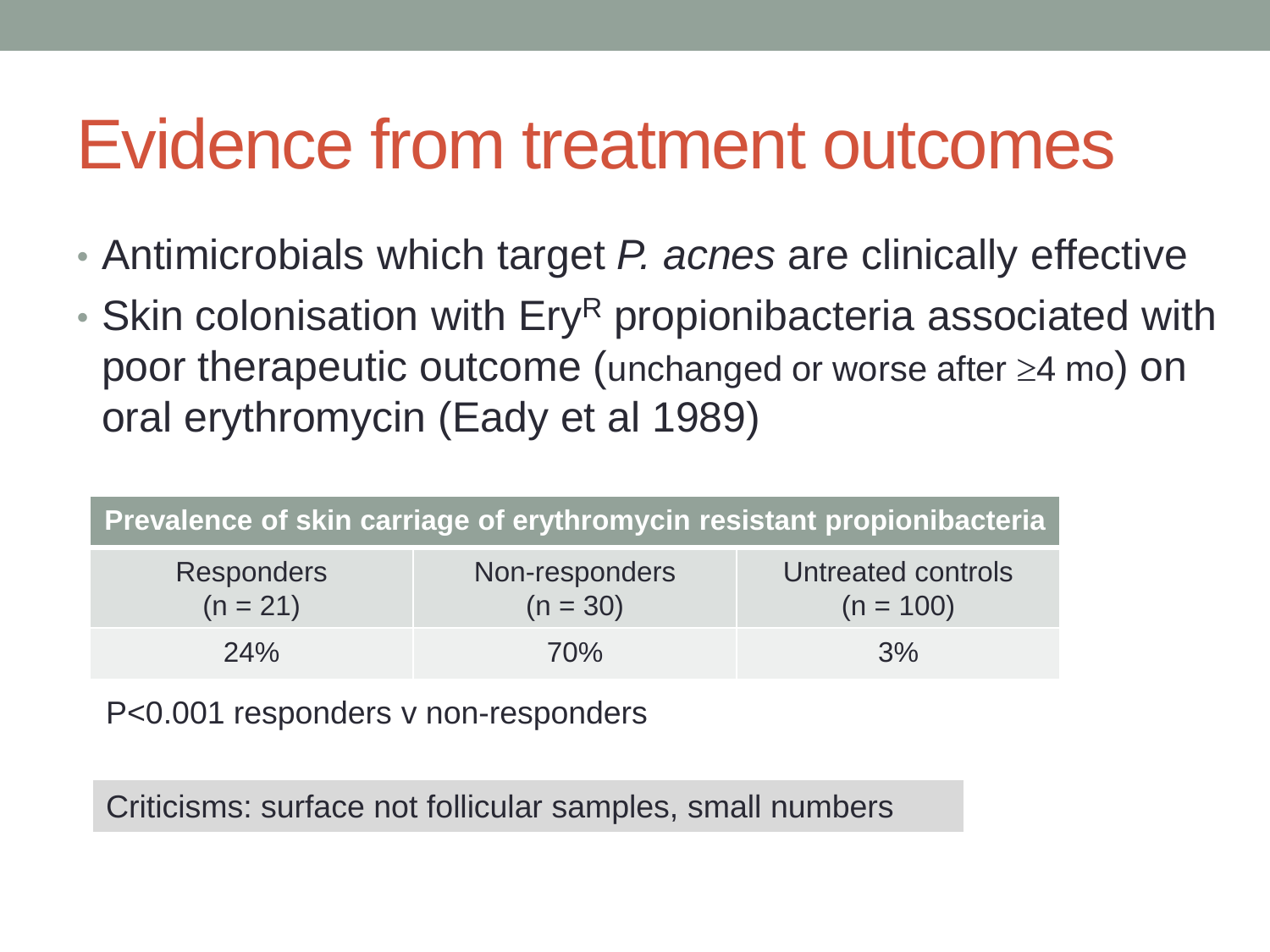## Evidence from treatment outcomes

- Antimicrobials which target *P. acnes* are clinically effective
- $\cdot$  Skin colonisation with Ery<sup>R</sup> propionibacteria associated with poor therapeutic outcome (unchanged or worse after  $\geq 4$  mo) on oral erythromycin (Eady et al 1989)

| Prevalence of skin carriage of erythromycin resistant propionibacteria |                              |                                   |  |  |  |
|------------------------------------------------------------------------|------------------------------|-----------------------------------|--|--|--|
| <b>Responders</b><br>$(n = 21)$                                        | Non-responders<br>$(n = 30)$ | Untreated controls<br>$(n = 100)$ |  |  |  |
| 24%                                                                    | 70%                          | 3%                                |  |  |  |

P<0.001 responders v non-responders

Criticisms: surface not follicular samples, small numbers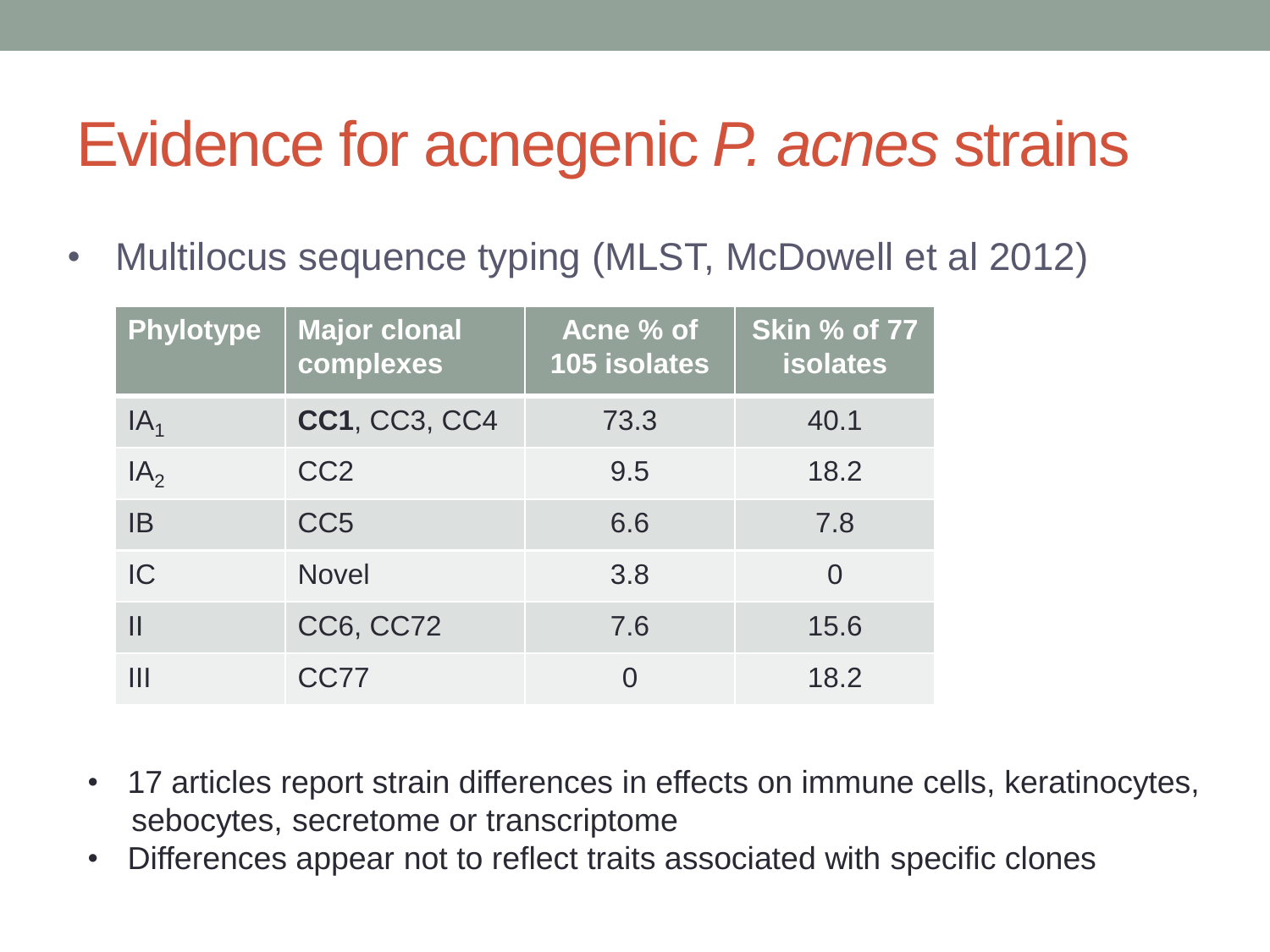### Evidence for acnegenic *P. acnes* strains

• Multilocus sequence typing (MLST, McDowell et al 2012)

| Phylotype       | <b>Major clonal</b><br>complexes | Acne % of<br>105 isolates | <b>Skin % of 77</b><br><b>isolates</b> |
|-----------------|----------------------------------|---------------------------|----------------------------------------|
| IA <sub>1</sub> | <b>CC1, CC3, CC4</b>             | 73.3                      | 40.1                                   |
| IA <sub>2</sub> | CC <sub>2</sub>                  | 9.5                       | 18.2                                   |
| <b>IB</b>       | CC <sub>5</sub>                  | 6.6                       | 7.8                                    |
| IC              | <b>Novel</b>                     | 3.8                       |                                        |
|                 | <b>CC6, CC72</b>                 | 7.6                       | 15.6                                   |
| Ш               | CC77                             |                           | 18.2                                   |

- 17 articles report strain differences in effects on immune cells, keratinocytes, sebocytes, secretome or transcriptome
- Differences appear not to reflect traits associated with specific clones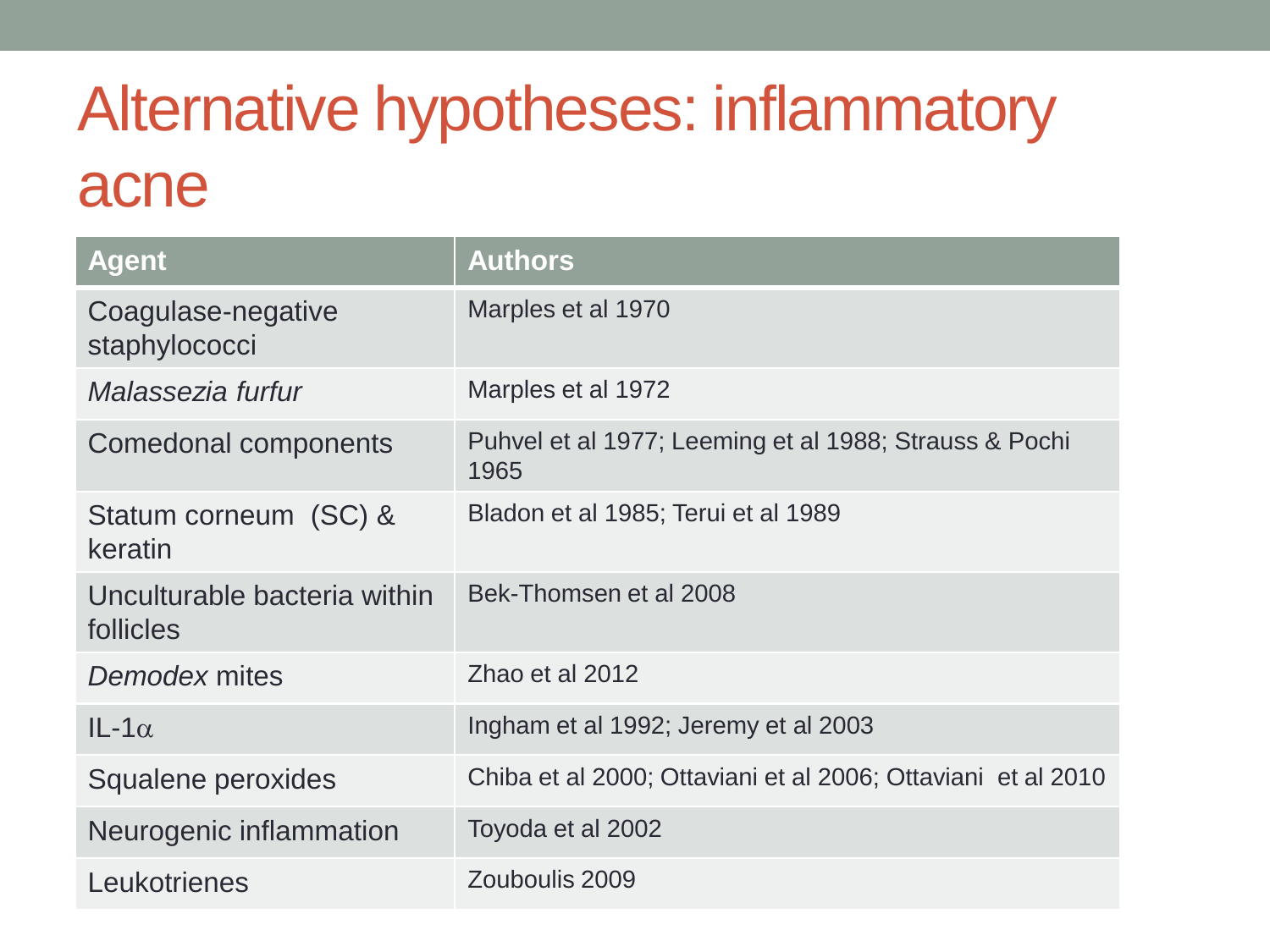### Alternative hypotheses: inflammatory acne

| <b>Agent</b>                              | <b>Authors</b>                                                 |
|-------------------------------------------|----------------------------------------------------------------|
| Coagulase-negative<br>staphylococci       | Marples et al 1970                                             |
| Malassezia furfur                         | Marples et al 1972                                             |
| <b>Comedonal components</b>               | Puhvel et al 1977; Leeming et al 1988; Strauss & Pochi<br>1965 |
| Statum corneum (SC) &<br>keratin          | Bladon et al 1985; Terui et al 1989                            |
| Unculturable bacteria within<br>follicles | Bek-Thomsen et al 2008                                         |
| Demodex mites                             | Zhao et al 2012                                                |
| $IL-1\alpha$                              | Ingham et al 1992; Jeremy et al 2003                           |
| Squalene peroxides                        | Chiba et al 2000; Ottaviani et al 2006; Ottaviani et al 2010   |
| Neurogenic inflammation                   | Toyoda et al 2002                                              |
| Leukotrienes                              | Zouboulis 2009                                                 |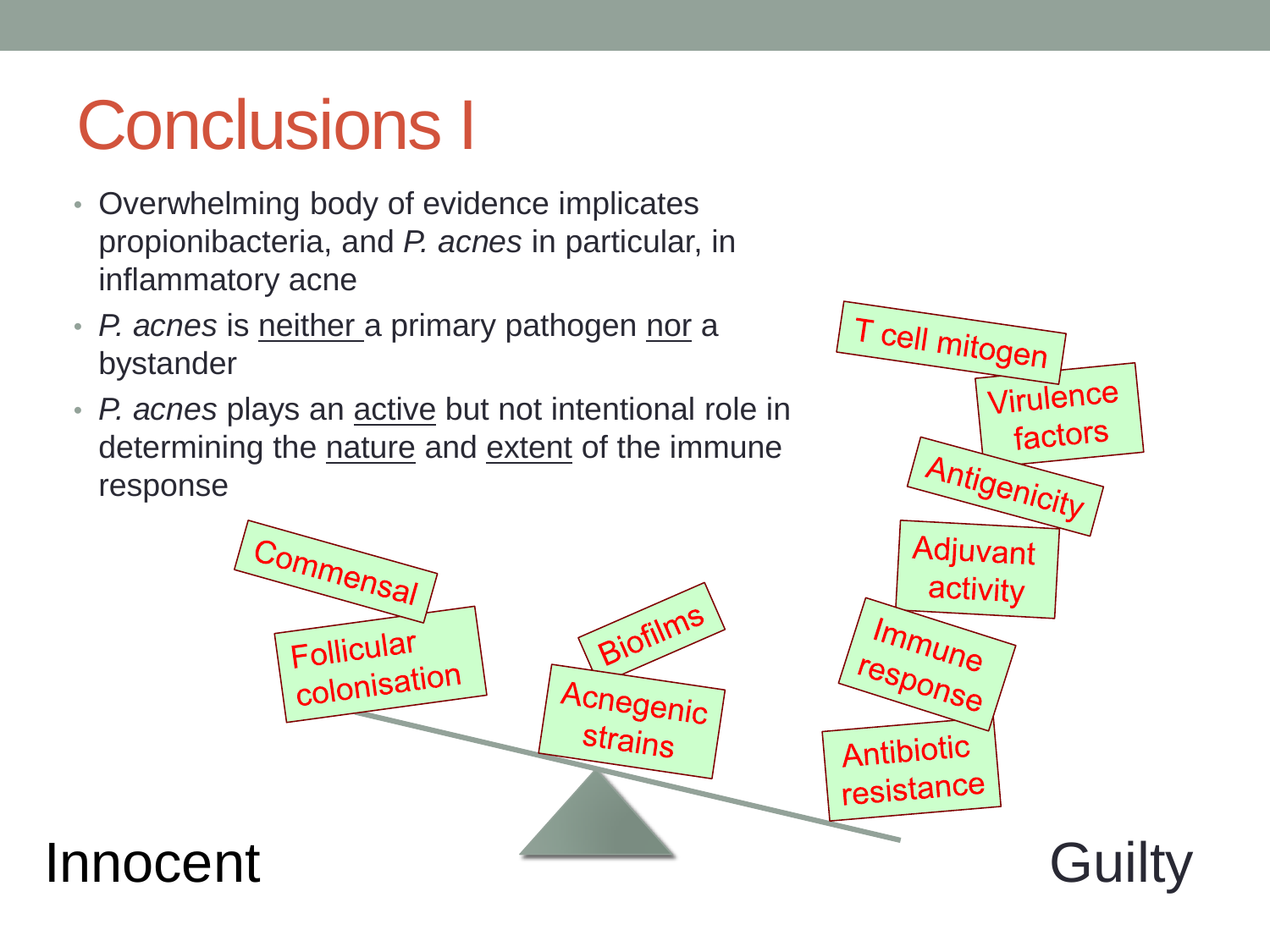## Conclusions I

- Overwhelming body of evidence implicates propionibacteria, and *P. acnes* in particular, in inflammatory acne
- *P. acnes* is neither a primary pathogen nor a bystander
- *P. acnes* plays an active but not intentional role in determining the nature and extent of the immune response



T cell mitogen

Virulence

factors